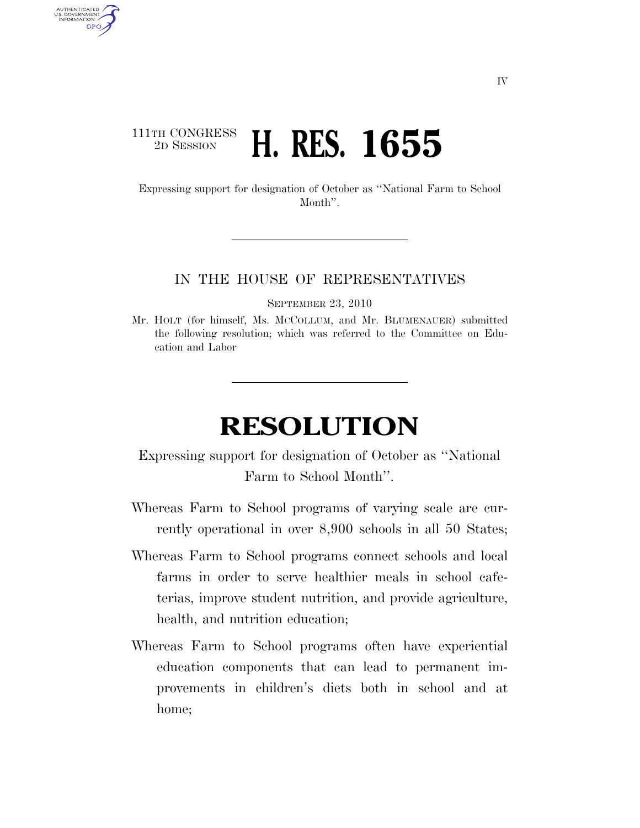## 111TH CONGRESS <sup>2D SESSION</sup> **H. RES. 1655**

AUTHENTICATED U.S. GOVERNMENT GPO

> Expressing support for designation of October as ''National Farm to School Month''.

## IN THE HOUSE OF REPRESENTATIVES

SEPTEMBER 23, 2010

Mr. HOLT (for himself, Ms. MCCOLLUM, and Mr. BLUMENAUER) submitted the following resolution; which was referred to the Committee on Education and Labor

## **RESOLUTION**

Expressing support for designation of October as ''National Farm to School Month''.

- Whereas Farm to School programs of varying scale are currently operational in over 8,900 schools in all 50 States;
- Whereas Farm to School programs connect schools and local farms in order to serve healthier meals in school cafeterias, improve student nutrition, and provide agriculture, health, and nutrition education;
- Whereas Farm to School programs often have experiential education components that can lead to permanent improvements in children's diets both in school and at home;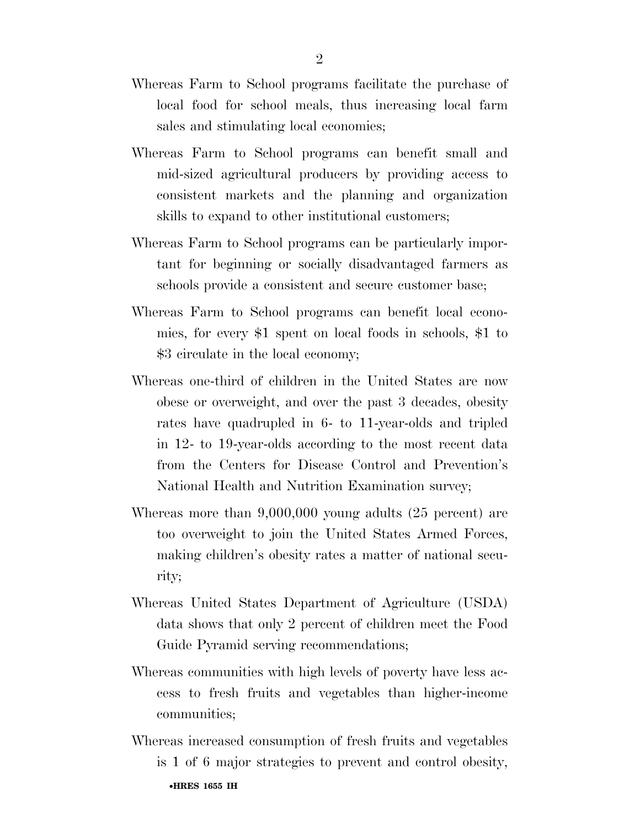- Whereas Farm to School programs facilitate the purchase of local food for school meals, thus increasing local farm sales and stimulating local economies;
- Whereas Farm to School programs can benefit small and mid-sized agricultural producers by providing access to consistent markets and the planning and organization skills to expand to other institutional customers;
- Whereas Farm to School programs can be particularly important for beginning or socially disadvantaged farmers as schools provide a consistent and secure customer base;
- Whereas Farm to School programs can benefit local economies, for every \$1 spent on local foods in schools, \$1 to \$3 circulate in the local economy;
- Whereas one-third of children in the United States are now obese or overweight, and over the past 3 decades, obesity rates have quadrupled in 6- to 11-year-olds and tripled in 12- to 19-year-olds according to the most recent data from the Centers for Disease Control and Prevention's National Health and Nutrition Examination survey;
- Whereas more than 9,000,000 young adults (25 percent) are too overweight to join the United States Armed Forces, making children's obesity rates a matter of national security;
- Whereas United States Department of Agriculture (USDA) data shows that only 2 percent of children meet the Food Guide Pyramid serving recommendations;
- Whereas communities with high levels of poverty have less access to fresh fruits and vegetables than higher-income communities;
- Whereas increased consumption of fresh fruits and vegetables is 1 of 6 major strategies to prevent and control obesity,

## •**HRES 1655 IH**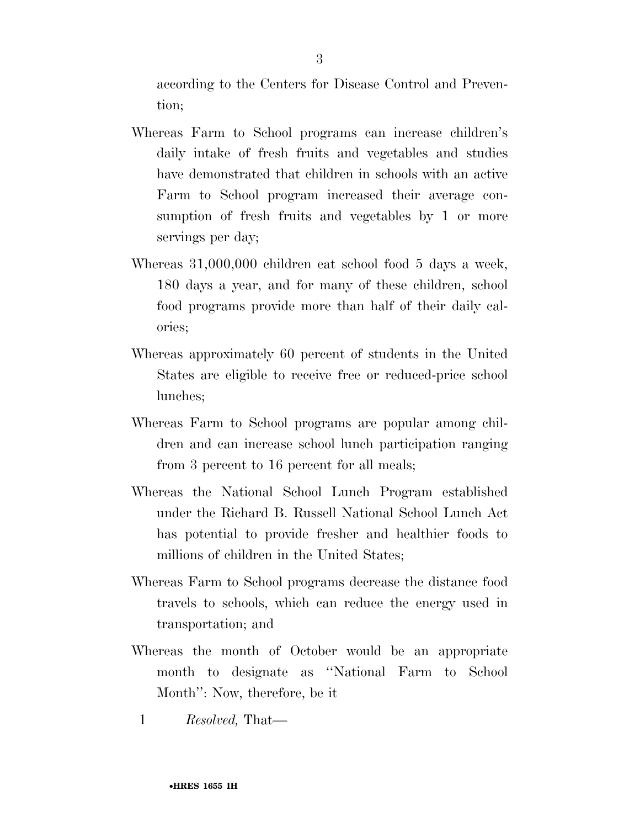according to the Centers for Disease Control and Prevention;

- Whereas Farm to School programs can increase children's daily intake of fresh fruits and vegetables and studies have demonstrated that children in schools with an active Farm to School program increased their average consumption of fresh fruits and vegetables by 1 or more servings per day;
- Whereas 31,000,000 children eat school food 5 days a week, 180 days a year, and for many of these children, school food programs provide more than half of their daily calories;
- Whereas approximately 60 percent of students in the United States are eligible to receive free or reduced-price school lunches;
- Whereas Farm to School programs are popular among children and can increase school lunch participation ranging from 3 percent to 16 percent for all meals;
- Whereas the National School Lunch Program established under the Richard B. Russell National School Lunch Act has potential to provide fresher and healthier foods to millions of children in the United States;
- Whereas Farm to School programs decrease the distance food travels to schools, which can reduce the energy used in transportation; and
- Whereas the month of October would be an appropriate month to designate as ''National Farm to School Month'': Now, therefore, be it
	- 1 *Resolved,* That—